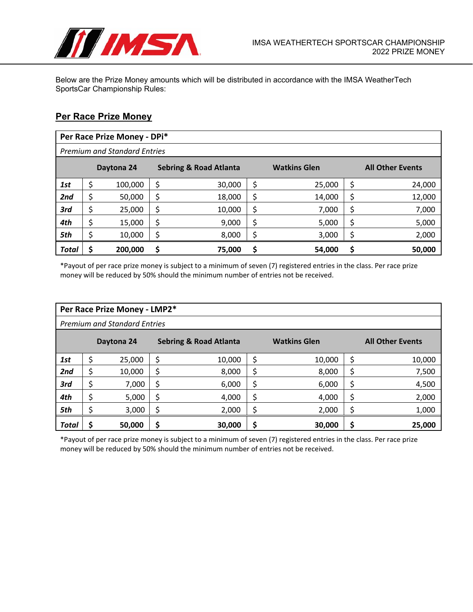

Below are the Prize Money amounts which will be distributed in accordance with the IMSA WeatherTech SportsCar Championship Rules:

## **Per Race Prize Money**

|       | Per Race Prize Money - DPi*                     |         |  |                     |    |                         |    |        |  |
|-------|-------------------------------------------------|---------|--|---------------------|----|-------------------------|----|--------|--|
|       | <b>Premium and Standard Entries</b>             |         |  |                     |    |                         |    |        |  |
|       | <b>Sebring &amp; Road Atlanta</b><br>Daytona 24 |         |  | <b>Watkins Glen</b> |    | <b>All Other Events</b> |    |        |  |
| 1st   | \$                                              | 100,000 |  | 30,000              | \$ | 25,000                  | \$ | 24,000 |  |
| 2nd   |                                                 | 50,000  |  | 18,000              | \$ | 14,000                  | \$ | 12,000 |  |
| 3rd   | \$                                              | 25,000  |  | 10,000              | \$ | 7,000                   | \$ | 7,000  |  |
| 4th   | \$                                              | 15,000  |  | 9,000               | \$ | 5,000                   | \$ | 5,000  |  |
| 5th   | \$                                              | 10,000  |  | 8,000               | \$ | 3,000                   | Ś  | 2,000  |  |
| Total |                                                 | 200,000 |  | 75,000              | S  | 54,000                  | S  | 50,000 |  |

\*Payout of per race prize money is subject to a minimum of seven (7) registered entries in the class. Per race prize money will be reduced by 50% should the minimum number of entries not be received.

|                                                 | Per Race Prize Money - LMP2*        |        |                     |        |                         |        |    |        |  |
|-------------------------------------------------|-------------------------------------|--------|---------------------|--------|-------------------------|--------|----|--------|--|
|                                                 | <b>Premium and Standard Entries</b> |        |                     |        |                         |        |    |        |  |
| <b>Sebring &amp; Road Atlanta</b><br>Daytona 24 |                                     |        | <b>Watkins Glen</b> |        | <b>All Other Events</b> |        |    |        |  |
| 1st                                             | \$                                  | 25,000 |                     | 10,000 | \$                      | 10,000 | \$ | 10,000 |  |
| 2nd                                             | \$                                  | 10,000 |                     | 8,000  | \$                      | 8,000  | \$ | 7,500  |  |
| 3rd                                             | \$                                  | 7,000  | \$                  | 6,000  | \$                      | 6,000  | \$ | 4,500  |  |
| 4th                                             | \$                                  | 5,000  | Ś                   | 4,000  | \$                      | 4,000  | \$ | 2,000  |  |
| 5th                                             | \$                                  | 3,000  |                     | 2,000  | \$                      | 2,000  | \$ | 1,000  |  |
| Total                                           | Ś                                   | 50,000 |                     | 30,000 | \$                      | 30,000 | \$ | 25,000 |  |

\*Payout of per race prize money is subject to a minimum of seven (7) registered entries in the class. Per race prize money will be reduced by 50% should the minimum number of entries not be received.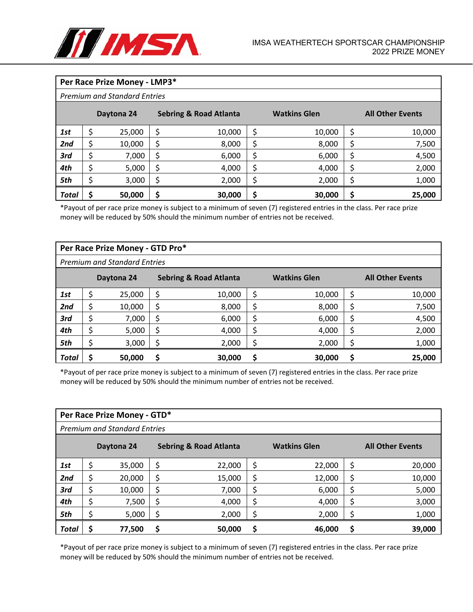

|       | Per Race Prize Money - LMP3*        |            |    |                                   |    |                     |    |                         |  |
|-------|-------------------------------------|------------|----|-----------------------------------|----|---------------------|----|-------------------------|--|
|       | <b>Premium and Standard Entries</b> |            |    |                                   |    |                     |    |                         |  |
|       |                                     | Daytona 24 |    | <b>Sebring &amp; Road Atlanta</b> |    | <b>Watkins Glen</b> |    | <b>All Other Events</b> |  |
| 1st   | \$                                  | 25,000     | \$ | 10,000                            | \$ | 10,000              | \$ | 10,000                  |  |
| 2nd   | \$                                  | 10,000     | \$ | 8,000                             | \$ | 8,000               | \$ | 7,500                   |  |
| 3rd   | \$                                  | 7,000      | \$ | 6,000                             | \$ | 6,000               | \$ | 4,500                   |  |
| 4th   | \$                                  | 5,000      | \$ | 4,000                             | \$ | 4,000               | \$ | 2,000                   |  |
| 5th   | \$                                  | 3,000      | S  | 2,000                             | \$ | 2,000               | \$ | 1,000                   |  |
| Total | Ś                                   | 50,000     | \$ | 30,000                            | \$ | 30,000              | \$ | 25,000                  |  |

\*Payout of per race prize money is subject to a minimum of seven (7) registered entries in the class. Per race prize money will be reduced by 50% should the minimum number of entries not be received.

|                                                 | Per Race Prize Money - GTD Pro*     |        |                     |        |                         |        |    |        |  |
|-------------------------------------------------|-------------------------------------|--------|---------------------|--------|-------------------------|--------|----|--------|--|
|                                                 | <b>Premium and Standard Entries</b> |        |                     |        |                         |        |    |        |  |
| <b>Sebring &amp; Road Atlanta</b><br>Daytona 24 |                                     |        | <b>Watkins Glen</b> |        | <b>All Other Events</b> |        |    |        |  |
| 1st                                             | \$                                  | 25,000 |                     | 10,000 | \$                      | 10,000 | Ś  | 10,000 |  |
| 2nd                                             | \$                                  | 10,000 |                     | 8,000  | \$                      | 8,000  |    | 7,500  |  |
| 3rd                                             | Ś                                   | 7,000  |                     | 6,000  | \$                      | 6,000  |    | 4,500  |  |
| 4th                                             | \$                                  | 5,000  | Ś                   | 4,000  | \$                      | 4,000  | \$ | 2,000  |  |
| 5th                                             | c                                   | 3,000  |                     | 2,000  | Ś                       | 2,000  |    | 1,000  |  |
| Total                                           |                                     | 50,000 |                     | 30,000 | \$                      | 30,000 |    | 25,000 |  |

\*Payout of per race prize money is subject to a minimum of seven (7) registered entries in the class. Per race prize money will be reduced by 50% should the minimum number of entries not be received.

|       | Per Race Prize Money - GTD*         |            |    |                                   |    |                     |    |                         |  |
|-------|-------------------------------------|------------|----|-----------------------------------|----|---------------------|----|-------------------------|--|
|       | <b>Premium and Standard Entries</b> |            |    |                                   |    |                     |    |                         |  |
|       |                                     | Daytona 24 |    | <b>Sebring &amp; Road Atlanta</b> |    | <b>Watkins Glen</b> |    | <b>All Other Events</b> |  |
| 1st   | \$                                  | 35,000     |    | 22,000                            | \$ | 22,000              | \$ | 20,000                  |  |
| 2nd   | \$                                  | 20,000     |    | 15,000                            | \$ | 12,000              | \$ | 10,000                  |  |
| 3rd   | \$                                  | 10,000     |    | 7,000                             | \$ | 6,000               | S  | 5,000                   |  |
| 4th   | \$                                  | 7,500      | \$ | 4,000                             | \$ | 4,000               | \$ | 3,000                   |  |
| 5th   | \$                                  | 5,000      |    | 2,000                             | \$ | 2,000               | Ś  | 1,000                   |  |
| Total |                                     | 77,500     |    | 50,000                            | \$ | 46,000              |    | 39,000                  |  |

\*Payout of per race prize money is subject to a minimum of seven (7) registered entries in the class. Per race prize money will be reduced by 50% should the minimum number of entries not be received.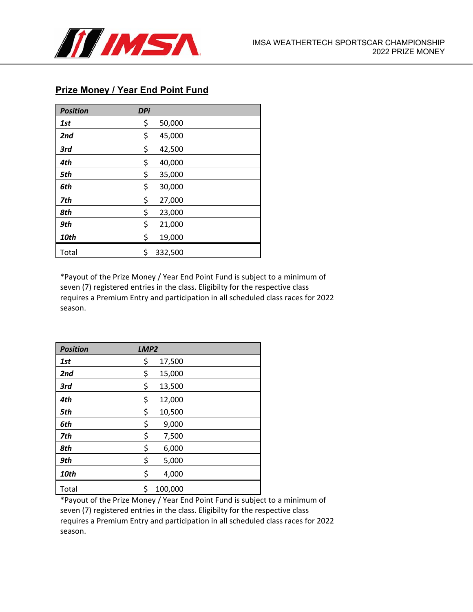

## **Prize Money / Year End Point Fund**

| <b>Position</b> | <b>DPi</b> |         |
|-----------------|------------|---------|
| 1st             | \$         | 50,000  |
| 2nd             | \$         | 45,000  |
| 3rd             | \$         | 42,500  |
| 4th             | \$         | 40,000  |
| 5th             | \$         | 35,000  |
| 6th             | \$         | 30,000  |
| 7th             | \$         | 27,000  |
| 8th             | \$         | 23,000  |
| 9th             | \$         | 21,000  |
| <b>10th</b>     | \$         | 19,000  |
| Total           | \$         | 332,500 |

\*Payout of the Prize Money / Year End Point Fund is subject to a minimum of seven (7) registered entries in the class. Eligibilty for the respective class requires a Premium Entry and participation in all scheduled class races for 2022 season.

| <b>Position</b> | LMP <sub>2</sub> |         |  |
|-----------------|------------------|---------|--|
| 1st             | \$               | 17,500  |  |
| 2nd             | \$               | 15,000  |  |
| 3rd             | \$               | 13,500  |  |
| 4th             | \$               | 12,000  |  |
| 5th             | \$               | 10,500  |  |
| 6th             | \$               | 9,000   |  |
| 7th             | \$               | 7,500   |  |
| 8th             | \$               | 6,000   |  |
| 9th             | \$               | 5,000   |  |
| <b>10th</b>     | \$               | 4,000   |  |
| Total           | \$               | 100,000 |  |

\*Payout of the Prize Money / Year End Point Fund is subject to a minimum of seven (7) registered entries in the class. Eligibilty for the respective class requires a Premium Entry and participation in all scheduled class races for 2022 season.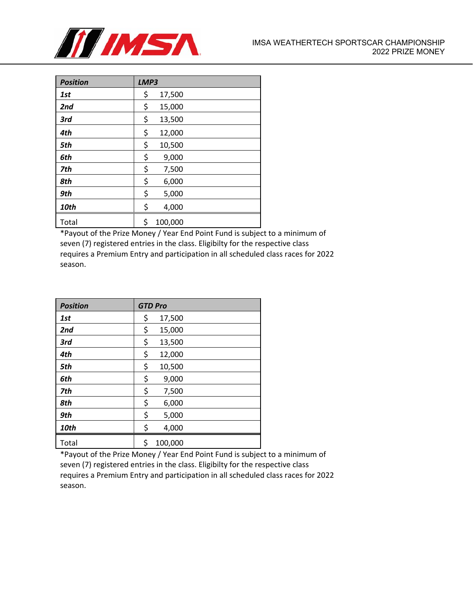

| <b>Position</b> | LMP3 |         |  |
|-----------------|------|---------|--|
| 1st             | \$   | 17,500  |  |
| 2nd             | \$   | 15,000  |  |
| 3rd             | \$   | 13,500  |  |
| 4th             | \$   | 12,000  |  |
| 5th             | \$   | 10,500  |  |
| 6th             | \$   | 9,000   |  |
| 7th             | \$   | 7,500   |  |
| 8th             | \$   | 6,000   |  |
| 9th             | \$   | 5,000   |  |
| 10th            | \$   | 4,000   |  |
| Total           | \$   | 100,000 |  |

\*Payout of the Prize Money / Year End Point Fund is subject to a minimum of seven (7) registered entries in the class. Eligibilty for the respective class requires a Premium Entry and participation in all scheduled class races for 2022 season.

| <b>Position</b> | <b>GTD Pro</b> |
|-----------------|----------------|
| 1st             | \$<br>17,500   |
| 2nd             | \$<br>15,000   |
| 3rd             | \$<br>13,500   |
| 4th             | \$<br>12,000   |
| 5th             | \$<br>10,500   |
| 6th             | \$<br>9,000    |
| 7th             | \$<br>7,500    |
| 8th             | \$<br>6,000    |
| 9th             | \$<br>5,000    |
| 10th            | \$<br>4,000    |
| Total           | \$<br>100,000  |

\*Payout of the Prize Money / Year End Point Fund is subject to a minimum of seven (7) registered entries in the class. Eligibilty for the respective class requires a Premium Entry and participation in all scheduled class races for 2022 season.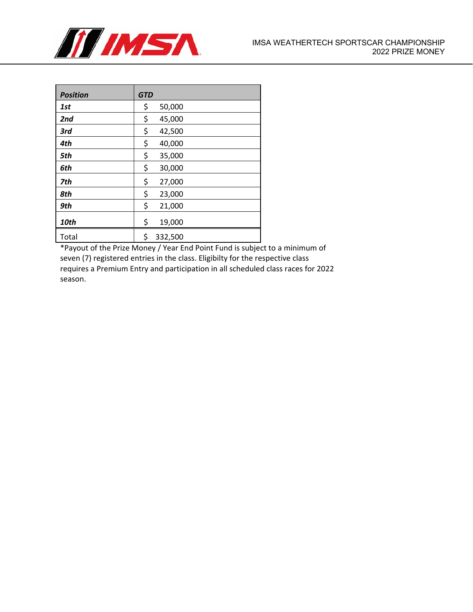

| <b>Position</b> | <b>GTD</b> |         |
|-----------------|------------|---------|
| 1st             | \$         | 50,000  |
| 2nd             | \$         | 45,000  |
| 3rd             | \$         | 42,500  |
| 4th             | \$         | 40,000  |
| 5th             | \$         | 35,000  |
| 6th             | \$         | 30,000  |
| 7th             | \$         | 27,000  |
| 8th             | \$         | 23,000  |
| 9th             | \$         | 21,000  |
| <b>10th</b>     | \$         | 19,000  |
| Total           | \$         | 332,500 |

\*Payout of the Prize Money / Year End Point Fund is subject to a minimum of seven (7) registered entries in the class. Eligibilty for the respective class requires a Premium Entry and participation in all scheduled class races for 2022 season.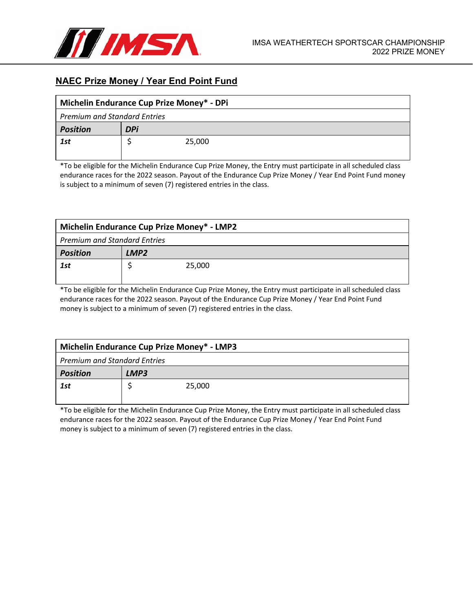

## **NAEC Prize Money / Year End Point Fund**

| Michelin Endurance Cup Prize Money* - DPi |            |  |  |  |  |  |  |
|-------------------------------------------|------------|--|--|--|--|--|--|
| <b>Premium and Standard Entries</b>       |            |  |  |  |  |  |  |
| <b>Position</b>                           | <b>DPi</b> |  |  |  |  |  |  |
| 1st                                       | 25,000     |  |  |  |  |  |  |
|                                           |            |  |  |  |  |  |  |

\*To be eligible for the Michelin Endurance Cup Prize Money, the Entry must participate in all scheduled class endurance races for the 2022 season. Payout of the Endurance Cup Prize Money / Year End Point Fund money is subject to a minimum of seven (7) registered entries in the class.

| Michelin Endurance Cup Prize Money* - LMP2 |                  |        |  |  |  |  |
|--------------------------------------------|------------------|--------|--|--|--|--|
| <b>Premium and Standard Entries</b>        |                  |        |  |  |  |  |
| <b>Position</b>                            | LMP <sub>2</sub> |        |  |  |  |  |
| 1st                                        |                  | 25,000 |  |  |  |  |
|                                            |                  |        |  |  |  |  |

\*To be eligible for the Michelin Endurance Cup Prize Money, the Entry must participate in all scheduled class endurance races for the 2022 season. Payout of the Endurance Cup Prize Money / Year End Point Fund money is subject to a minimum of seven (7) registered entries in the class.

| Michelin Endurance Cup Prize Money* - LMP3 |        |  |  |
|--------------------------------------------|--------|--|--|
| <b>Premium and Standard Entries</b>        |        |  |  |
| <b>Position</b>                            | LMP3   |  |  |
| 1st                                        | 25,000 |  |  |
|                                            |        |  |  |

\*To be eligible for the Michelin Endurance Cup Prize Money, the Entry must participate in all scheduled class endurance races for the 2022 season. Payout of the Endurance Cup Prize Money / Year End Point Fund money is subject to a minimum of seven (7) registered entries in the class.